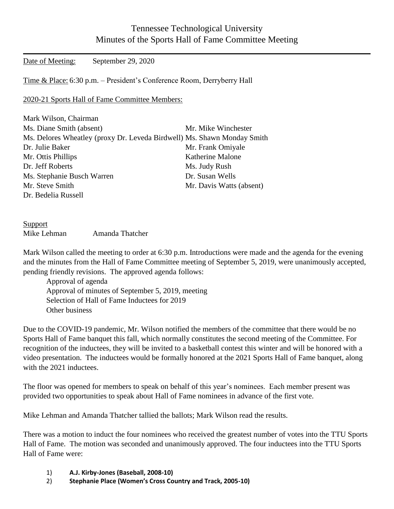## Tennessee Technological University Minutes of the Sports Hall of Fame Committee Meeting

Date of Meeting: September 29, 2020

Time & Place: 6:30 p.m. – President's Conference Room, Derryberry Hall

2020-21 Sports Hall of Fame Committee Members:

| Mark Wilson, Chairman                                                   |                          |
|-------------------------------------------------------------------------|--------------------------|
| Ms. Diane Smith (absent)                                                | Mr. Mike Winchester      |
| Ms. Delores Wheatley (proxy Dr. Leveda Birdwell) Ms. Shawn Monday Smith |                          |
| Dr. Julie Baker                                                         | Mr. Frank Omiyale        |
| Mr. Ottis Phillips                                                      | Katherine Malone         |
| Dr. Jeff Roberts                                                        | Ms. Judy Rush            |
| Ms. Stephanie Busch Warren                                              | Dr. Susan Wells          |
| Mr. Steve Smith                                                         | Mr. Davis Watts (absent) |
| Dr. Bedelia Russell                                                     |                          |

| Support     |                 |
|-------------|-----------------|
| Mike Lehman | Amanda Thatcher |

Mark Wilson called the meeting to order at 6:30 p.m. Introductions were made and the agenda for the evening and the minutes from the Hall of Fame Committee meeting of September 5, 2019, were unanimously accepted, pending friendly revisions. The approved agenda follows:

Approval of agenda Approval of minutes of September 5, 2019, meeting Selection of Hall of Fame Inductees for 2019 Other business

Due to the COVID-19 pandemic, Mr. Wilson notified the members of the committee that there would be no Sports Hall of Fame banquet this fall, which normally constitutes the second meeting of the Committee. For recognition of the inductees, they will be invited to a basketball contest this winter and will be honored with a video presentation. The inductees would be formally honored at the 2021 Sports Hall of Fame banquet, along with the 2021 inductees.

The floor was opened for members to speak on behalf of this year's nominees. Each member present was provided two opportunities to speak about Hall of Fame nominees in advance of the first vote.

Mike Lehman and Amanda Thatcher tallied the ballots; Mark Wilson read the results.

There was a motion to induct the four nominees who received the greatest number of votes into the TTU Sports Hall of Fame. The motion was seconded and unanimously approved. The four inductees into the TTU Sports Hall of Fame were:

- 1) **A.J. Kirby-Jones (Baseball, 2008-10)**
- 2) **Stephanie Place (Women's Cross Country and Track, 2005-10)**